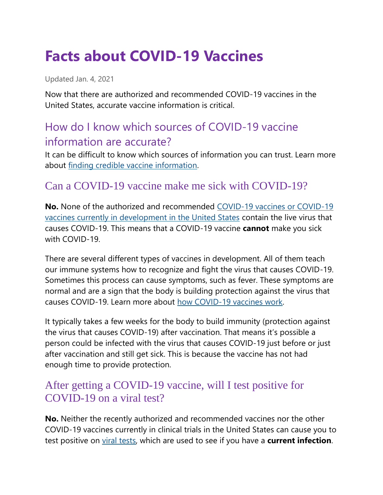# **Facts about COVID-19 Vaccines**

Updated Jan. 4, 2021

Now that there are authorized and recommended COVID-19 vaccines in the United States, accurate vaccine information is critical.

## How do I know which sources of COVID-19 vaccine information are accurate?

It can be difficult to know which sources of information you can trust. Learn more about [finding credible vaccine information.](https://www.cdc.gov/vaccines/vac-gen/evalwebs.htm)

### Can a COVID-19 vaccine make me sick with COVID-19?

**No.** None of the authorized and recommended [COVID-19 vaccines or COVID-19](https://www.cdc.gov/coronavirus/2019-ncov/vaccines/different-vaccines.html)  [vaccines currently in development in the United States](https://www.cdc.gov/coronavirus/2019-ncov/vaccines/different-vaccines.html) contain the live virus that causes COVID-19. This means that a COVID-19 vaccine **cannot** make you sick with COVID-19.

There are several different types of vaccines in development. All of them teach our immune systems how to recognize and fight the virus that causes COVID-19. Sometimes this process can cause symptoms, such as fever. These symptoms are normal and are a sign that the body is building protection against the virus that causes COVID-19. Learn more about [how COVID-19 vaccines work.](https://www.cdc.gov/coronavirus/2019-ncov/vaccines/about-vaccines/how-they-work.html)

It typically takes a few weeks for the body to build immunity (protection against the virus that causes COVID-19) after vaccination. That means it's possible a person could be infected with the virus that causes COVID-19 just before or just after vaccination and still get sick. This is because the vaccine has not had enough time to provide protection.

#### After getting a COVID-19 vaccine, will I test positive for COVID-19 on a viral test?

**No.** Neither the recently authorized and recommended vaccines nor the other COVID-19 vaccines currently in clinical trials in the United States can cause you to test positive on [viral tests,](https://www.cdc.gov/coronavirus/2019-ncov/testing/diagnostic-testing.html) which are used to see if you have a **current infection**.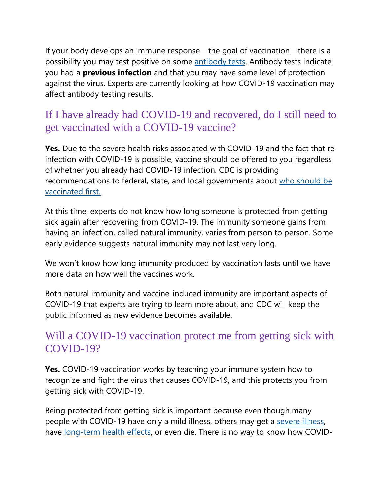If your body develops an immune response—the goal of vaccination—there is a possibility you may test positive on some [antibody tests.](https://www.cdc.gov/coronavirus/2019-ncov/testing/serology-overview.html) Antibody tests indicate you had a **previous infection** and that you may have some level of protection against the virus. Experts are currently looking at how COVID-19 vaccination may affect antibody testing results.

#### If I have already had COVID-19 and recovered, do I still need to get vaccinated with a COVID-19 vaccine?

**Yes.** Due to the severe health risks associated with COVID-19 and the fact that reinfection with COVID-19 is possible, vaccine should be offered to you regardless of whether you already had COVID-19 infection. CDC is providing recommendations to federal, state, and local governments about who should be [vaccinated first.](https://www.cdc.gov/coronavirus/2019-ncov/vaccines/recommendations.html)

At this time, experts do not know how long someone is protected from getting sick again after recovering from COVID-19. The immunity someone gains from having an infection, called natural immunity, varies from person to person. Some early evidence suggests natural immunity may not last very long.

We won't know how long immunity produced by vaccination lasts until we have more data on how well the vaccines work.

Both natural immunity and vaccine-induced immunity are important aspects of COVID-19 that experts are trying to learn more about, and CDC will keep the public informed as new evidence becomes available.

#### Will a COVID-19 vaccination protect me from getting sick with COVID-19?

**Yes.** COVID-19 vaccination works by teaching your immune system how to recognize and fight the virus that causes COVID-19, and this protects you from getting sick with COVID-19.

Being protected from getting sick is important because even though many people with COVID-19 have only a mild illness, others may get a [severe illness,](https://www.cdc.gov/coronavirus/2019-ncov/symptoms-testing/symptoms.html) have [long-term health effects,](https://www.cdc.gov/coronavirus/2019-ncov/long-term-effects.html) or even die. There is no way to know how COVID-